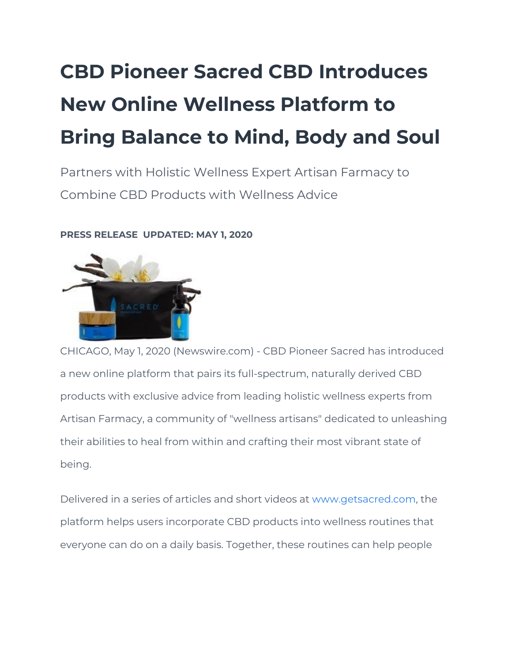## **CBD Pioneer Sacred CBD Introduces New Online Wellness Platform to Bring Balance to Mind, Body and Soul**

Partners with Holistic Wellness Expert Artisan Farmacy to Combine CBD Products with Wellness Advice

## **PRESS RELEASE UPDATED: MAY 1, 2020**



CHICAGO, May 1, 2020 (Newswire.com) - CBD Pioneer Sacred has introduced a new online platform that pairs its full-spectrum, naturally derived CBD products with exclusive advice from leading holistic wellness experts from Artisan Farmacy, a community of "wellness artisans" dedicated to unleashing their abilities to heal from within and crafting their most vibrant state of being.

Delivered in a series of articles and short videos at [www.getsacred.com](http://www.getsacred.com/), the platform helps users incorporate CBD products into wellness routines that everyone can do on a daily basis. Together, these routines can help people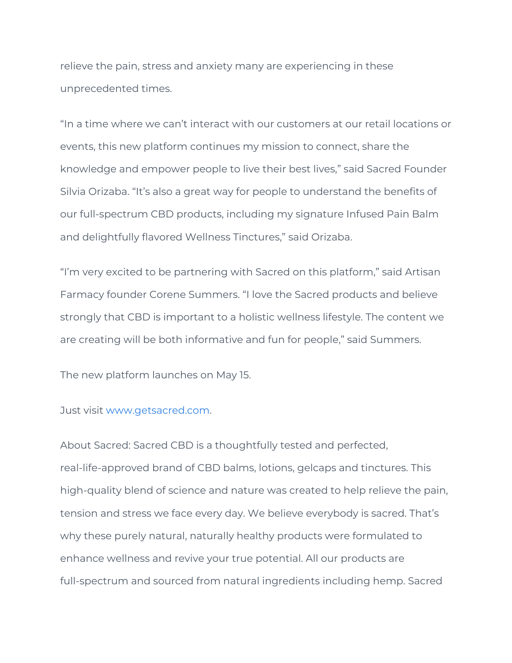relieve the pain, stress and anxiety many are experiencing in these unprecedented times.

"In a time where we can't interact with our customers at our retail locations or events, this new platform continues my mission to connect, share the knowledge and empower people to live their best lives," said Sacred Founder Silvia Orizaba. "It's also a great way for people to understand the benefits of our full-spectrum CBD products, including my signature Infused Pain Balm and delightfully flavored Wellness Tinctures," said Orizaba.

"I'm very excited to be partnering with Sacred on this platform," said Artisan Farmacy founder Corene Summers. "I love the Sacred products and believe strongly that CBD is important to a holistic wellness lifestyle. The content we are creating will be both informative and fun for people," said Summers.

The new platform launches on May 15.

Just visit [www.getsacred.com](http://www.getsacred.com/).

About Sacred: Sacred CBD is a thoughtfully tested and perfected, real-life-approved brand of CBD balms, lotions, gelcaps and tinctures. This high-quality blend of science and nature was created to help relieve the pain, tension and stress we face every day. We believe everybody is sacred. That's why these purely natural, naturally healthy products were formulated to enhance wellness and revive your true potential. All our products are full-spectrum and sourced from natural ingredients including hemp. Sacred